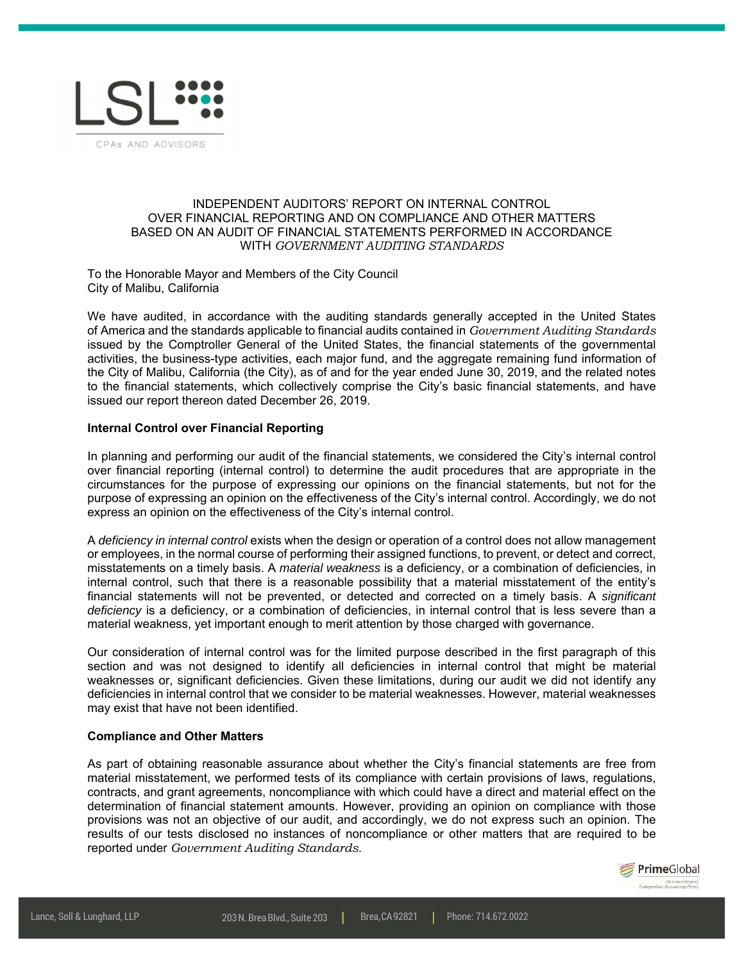

## INDEPENDENT AUDITORS' REPORT ON INTERNAL CONTROL OVER FINANCIAL REPORTING AND ON COMPLIANCE AND OTHER MATTERS BASED ON AN AUDIT OF FINANCIAL STATEMENTS PERFORMED IN ACCORDANCE WITH *GOVERNMENT AUDITING STANDARDS*

To the Honorable Mayor and Members of the City Council City of Malibu, California

We have audited, in accordance with the auditing standards generally accepted in the United States of America and the standards applicable to financial audits contained in *Government Auditing Standards* issued by the Comptroller General of the United States, the financial statements of the governmental activities, the business-type activities, each major fund, and the aggregate remaining fund information of the City of Malibu, California (the City), as of and for the year ended June 30, 2019, and the related notes to the financial statements, which collectively comprise the City's basic financial statements, and have issued our report thereon dated December 26, 2019.

## **Internal Control over Financial Reporting**

In planning and performing our audit of the financial statements, we considered the City's internal control over financial reporting (internal control) to determine the audit procedures that are appropriate in the circumstances for the purpose of expressing our opinions on the financial statements, but not for the purpose of expressing an opinion on the effectiveness of the City's internal control. Accordingly, we do not express an opinion on the effectiveness of the City's internal control.

A *deficiency in internal control* exists when the design or operation of a control does not allow management or employees, in the normal course of performing their assigned functions, to prevent, or detect and correct, misstatements on a timely basis. A *material weakness* is a deficiency, or a combination of deficiencies, in internal control, such that there is a reasonable possibility that a material misstatement of the entity's financial statements will not be prevented, or detected and corrected on a timely basis. A *significant deficiency* is a deficiency, or a combination of deficiencies, in internal control that is less severe than a material weakness, yet important enough to merit attention by those charged with governance.

Our consideration of internal control was for the limited purpose described in the first paragraph of this section and was not designed to identify all deficiencies in internal control that might be material weaknesses or, significant deficiencies. Given these limitations, during our audit we did not identify any deficiencies in internal control that we consider to be material weaknesses. However, material weaknesses may exist that have not been identified.

## **Compliance and Other Matters**

As part of obtaining reasonable assurance about whether the City's financial statements are free from material misstatement, we performed tests of its compliance with certain provisions of laws, regulations, contracts, and grant agreements, noncompliance with which could have a direct and material effect on the determination of financial statement amounts. However, providing an opinion on compliance with those provisions was not an objective of our audit, and accordingly, we do not express such an opinion. The results of our tests disclosed no instances of noncompliance or other matters that are required to be reported under *Government Auditing Standards*.